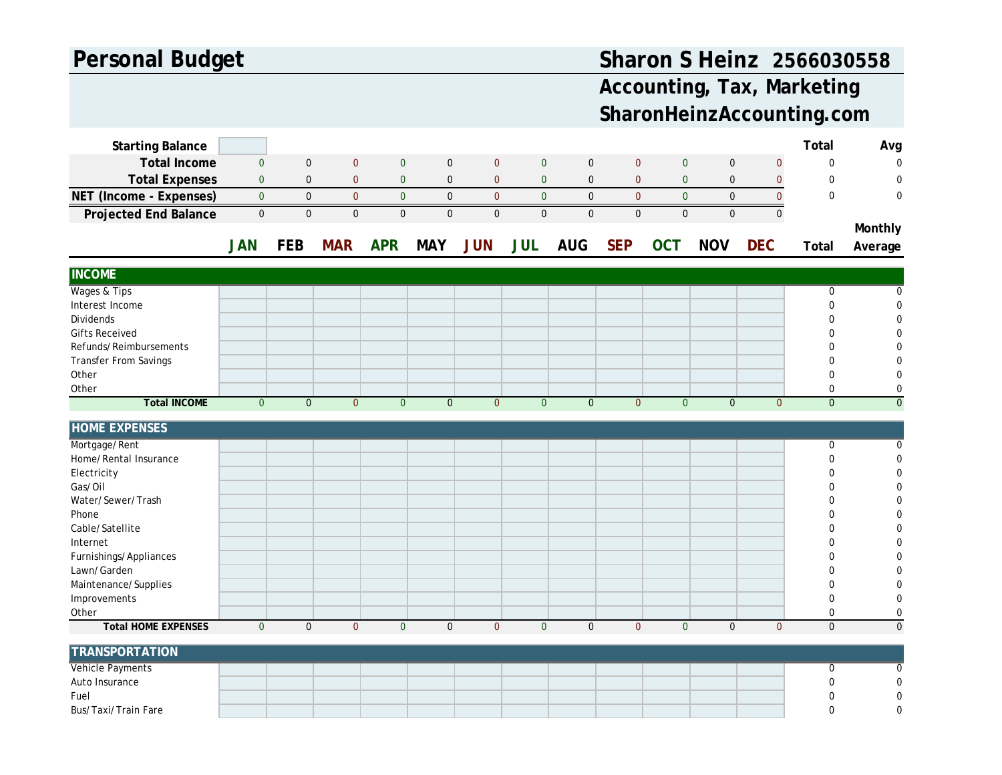## **Personal Budget**

## **Sharon S Heinz 2566030558**

## **Accounting, Tax, Marketing SharonHeinzAccounting.com**

| <b>Starting Balance</b>      |                |                |                |                |                |                |                |                |                  |                |              |                | Total          | Avg              |
|------------------------------|----------------|----------------|----------------|----------------|----------------|----------------|----------------|----------------|------------------|----------------|--------------|----------------|----------------|------------------|
| <b>Total Income</b>          | $\mathbf{0}$   | $\mathbf 0$    | $\overline{0}$ | $\mathbf{0}$   | $\pmb{0}$      | $\pmb{0}$      | $\mathbf{0}$   | $\mathbf 0$    | $\mathbf{0}$     | $\mathbf{0}$   | $\mathbf 0$  | $\mathbf{0}$   | $\pmb{0}$      | $\overline{0}$   |
| <b>Total Expenses</b>        | $\mathbf{0}$   | $\mathbf 0$    | $\mathbf{0}$   | $\mathbf 0$    | $\pmb{0}$      | $\mathbf{0}$   | $\pmb{0}$      | $\mathbf 0$    | $\mathbf{0}$     | $\pmb{0}$      | $\mathbf 0$  | $\mathbf{0}$   | $\mathbf 0$    | $\mathbf 0$      |
| NET (Income - Expenses)      | $\mathbf 0$    | $\pmb{0}$      | $\mathbf{0}$   | $\overline{0}$ | $\pmb{0}$      | $\pmb{0}$      | $\pmb{0}$      | $\pmb{0}$      | $\mathbf 0$      | $\mathbf 0$    | $\pmb{0}$    | $\overline{0}$ | $\mathbf 0$    | $\mathbf 0$      |
| <b>Projected End Balance</b> | $\pmb{0}$      | $\mathbf 0$    | $\overline{0}$ | $\pmb{0}$      | $\pmb{0}$      | $\pmb{0}$      | $\pmb{0}$      | $\mathbf{0}$   | $\boldsymbol{0}$ | $\mathbf 0$    | $\mathbf 0$  | $\overline{0}$ |                |                  |
|                              |                |                |                |                |                |                |                |                |                  |                |              |                |                | Monthly          |
|                              | <b>JAN</b>     | <b>FEB</b>     | <b>MAR</b>     | <b>APR</b>     | <b>MAY</b>     | <b>JUN</b>     | <b>JUL</b>     | <b>AUG</b>     | <b>SEP</b>       | <b>OCT</b>     | <b>NOV</b>   | <b>DEC</b>     | Total          |                  |
|                              |                |                |                |                |                |                |                |                |                  |                |              |                |                | Average          |
| <b>INCOME</b>                |                |                |                |                |                |                |                |                |                  |                |              |                |                |                  |
| Wages & Tips                 |                |                |                |                |                |                |                |                |                  |                |              |                | $\mathbf 0$    | $\mathbf 0$      |
| Interest Income              |                |                |                |                |                |                |                |                |                  |                |              |                | $\mathbf 0$    | $\mathbf 0$      |
| Dividends                    |                |                |                |                |                |                |                |                |                  |                |              |                | $\mathbf 0$    | $\Omega$         |
| <b>Gifts Received</b>        |                |                |                |                |                |                |                |                |                  |                |              |                | $\mathbf 0$    | $\Omega$         |
| Refunds/Reimbursements       |                |                |                |                |                |                |                |                |                  |                |              |                | $\overline{0}$ | $\Omega$         |
| <b>Transfer From Savings</b> |                |                |                |                |                |                |                |                |                  |                |              |                | $\Omega$       | $\mathbf 0$      |
| Other                        |                |                |                |                |                |                |                |                |                  |                |              |                | $\Omega$       | $\mathbf 0$      |
| Other                        |                |                |                |                |                |                |                |                |                  |                |              |                | $\mathbf 0$    | $\mathbf 0$      |
| <b>Total INCOME</b>          | $\overline{0}$ | $\overline{0}$ | $\Omega$       | $\overline{0}$ | $\overline{0}$ | $\overline{0}$ | $\overline{0}$ | $\overline{0}$ | $\overline{0}$   | $\overline{0}$ | $\Omega$     | $\overline{0}$ | $\overline{0}$ | $\overline{0}$   |
| <b>HOME EXPENSES</b>         |                |                |                |                |                |                |                |                |                  |                |              |                |                |                  |
| Mortgage/Rent                |                |                |                |                |                |                |                |                |                  |                |              |                | 0              | $\mathbf 0$      |
| Home/Rental Insurance        |                |                |                |                |                |                |                |                |                  |                |              |                | $\mathbf 0$    | $\mathbf 0$      |
| Electricity                  |                |                |                |                |                |                |                |                |                  |                |              |                | $\Omega$       | $\mathbf 0$      |
| Gas/Oil                      |                |                |                |                |                |                |                |                |                  |                |              |                | $\Omega$       | $\mathbf 0$      |
| Water/Sewer/Trash            |                |                |                |                |                |                |                |                |                  |                |              |                | $\Omega$       | $\Omega$         |
| Phone                        |                |                |                |                |                |                |                |                |                  |                |              |                | $\Omega$       | $\Omega$         |
| Cable/Satellite              |                |                |                |                |                |                |                |                |                  |                |              |                | $\mathbf 0$    | $\Omega$         |
| Internet                     |                |                |                |                |                |                |                |                |                  |                |              |                | $\overline{0}$ | $\mathbf 0$      |
| Furnishings/Appliances       |                |                |                |                |                |                |                |                |                  |                |              |                | $\Omega$       | $\mathbf 0$      |
| Lawn/Garden                  |                |                |                |                |                |                |                |                |                  |                |              |                | $\mathbf 0$    | $\mathbf 0$      |
| Maintenance/Supplies         |                |                |                |                |                |                |                |                |                  |                |              |                | $\Omega$       | $\mathbf 0$      |
| Improvements                 |                |                |                |                |                |                |                |                |                  |                |              |                | $\mathbf 0$    | $\mathbf 0$      |
| Other                        |                |                |                |                |                |                |                |                |                  |                |              |                | $\mathbf 0$    | $\boldsymbol{0}$ |
| <b>Total HOME EXPENSES</b>   | $\overline{0}$ | $\pmb{0}$      | $\overline{0}$ | $\overline{0}$ | $\mathbf 0$    | $\overline{0}$ | $\mathbf{0}$   | $\mathbf{0}$   | $\overline{0}$   | $\overline{0}$ | $\mathbf{0}$ | $\overline{0}$ | $\mathbf{0}$   | $\mathbf{0}$     |
| <b>TRANSPORTATION</b>        |                |                |                |                |                |                |                |                |                  |                |              |                |                |                  |
| Vehicle Payments             |                |                |                |                |                |                |                |                |                  |                |              |                | 0              | 0                |
| Auto Insurance               |                |                |                |                |                |                |                |                |                  |                |              |                | $\mathbf 0$    | $\boldsymbol{0}$ |
| Fuel                         |                |                |                |                |                |                |                |                |                  |                |              |                | $\Omega$       | $\mathbf 0$      |
| Bus/Taxi/Train Fare          |                |                |                |                |                |                |                |                |                  |                |              |                | $\Omega$       | $\theta$         |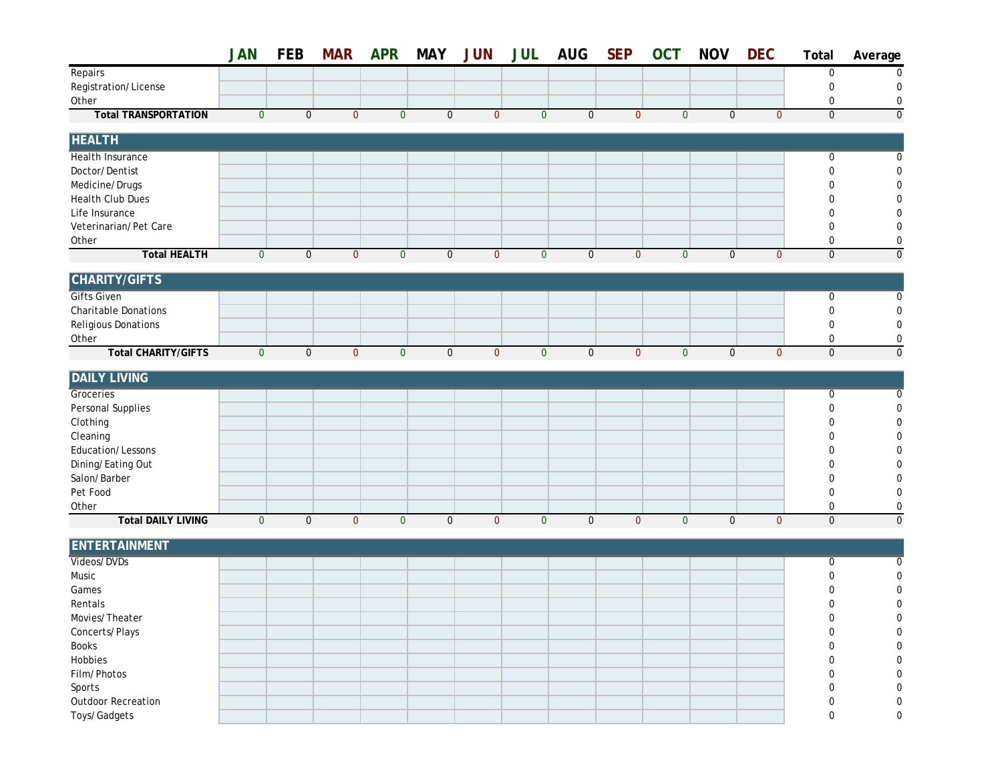|                             | <b>JAN</b>     | <b>FEB</b>  | <b>MAR</b>   | <b>APR</b>     | <b>MAY</b>       | <b>JUN</b>     | <b>JUL</b>   | <b>AUG</b>  | <b>SEP</b>     | <b>OCT</b>     | <b>NOV</b>  | <b>DEC</b>   | Total            | Average        |
|-----------------------------|----------------|-------------|--------------|----------------|------------------|----------------|--------------|-------------|----------------|----------------|-------------|--------------|------------------|----------------|
| Repairs                     |                |             |              |                |                  |                |              |             |                |                |             |              | 0                | 0              |
| Registration/License        |                |             |              |                |                  |                |              |             |                |                |             |              | $\boldsymbol{0}$ | $\mathbf 0$    |
| Other                       |                |             |              |                |                  |                |              |             |                |                |             |              | 0                | 0              |
| <b>Total TRANSPORTATION</b> | $\overline{0}$ | $\mathbf 0$ | $\mathbf{0}$ | $\overline{0}$ | $\mathbf 0$      | $\overline{0}$ | $\mathbf{0}$ | $\mathbf 0$ | $\overline{0}$ | $\overline{0}$ | $\mathbf 0$ | $\mathbf{0}$ | $\overline{0}$   | $\overline{0}$ |
| <b>HEALTH</b>               |                |             |              |                |                  |                |              |             |                |                |             |              |                  |                |
| Health Insurance            |                |             |              |                |                  |                |              |             |                |                |             |              | 0                | $\Omega$       |
| Doctor/Dentist              |                |             |              |                |                  |                |              |             |                |                |             |              | 0                | 0              |
| Medicine/Drugs              |                |             |              |                |                  |                |              |             |                |                |             |              | 0                | 0              |
| Health Club Dues            |                |             |              |                |                  |                |              |             |                |                |             |              | 0                | n              |
| Life Insurance              |                |             |              |                |                  |                |              |             |                |                |             |              | 0                | 0              |
| Veterinarian/Pet Care       |                |             |              |                |                  |                |              |             |                |                |             |              | 0                | 0              |
| Other                       |                |             |              |                |                  |                |              |             |                |                |             |              | $\boldsymbol{0}$ | $\mathbf 0$    |
| <b>Total HEALTH</b>         | $\mathbf{0}$   | $\mathbf 0$ | $\mathbf{0}$ | $\mathbf{0}$   | $\boldsymbol{0}$ | $\overline{0}$ | $\mathbf{0}$ | $\mathbf 0$ | $\mathbf{0}$   | $\mathbf{0}$   | $\mathbf 0$ | $\mathbf{0}$ | $\mathbf 0$      | $\mathbf 0$    |
| <b>CHARITY/GIFTS</b>        |                |             |              |                |                  |                |              |             |                |                |             |              |                  |                |
| <b>Gifts Given</b>          |                |             |              |                |                  |                |              |             |                |                |             |              | 0                | 0              |
| Charitable Donations        |                |             |              |                |                  |                |              |             |                |                |             |              | $\pmb{0}$        | $\mathbf 0$    |
| Religious Donations         |                |             |              |                |                  |                |              |             |                |                |             |              | $\boldsymbol{0}$ | 0              |
| Other                       |                |             |              |                |                  |                |              |             |                |                |             |              | 0                | $\mathbf 0$    |
| <b>Total CHARITY/GIFTS</b>  | $\mathbf{0}$   | $\mathbf 0$ | $\mathbf{0}$ | $\mathbf{0}$   | $\mathbf 0$      | $\overline{0}$ | $\mathbf{0}$ | $\mathbf 0$ | $\mathbf{0}$   | $\overline{0}$ | $\mathbf 0$ | $\mathbf{0}$ | $\mathbf 0$      | $\mathbf 0$    |
| <b>DAILY LIVING</b>         |                |             |              |                |                  |                |              |             |                |                |             |              |                  |                |
| Groceries                   |                |             |              |                |                  |                |              |             |                |                |             |              | 0                | $\mathbf 0$    |
| Personal Supplies           |                |             |              |                |                  |                |              |             |                |                |             |              | 0                | 0              |
| Clothing                    |                |             |              |                |                  |                |              |             |                |                |             |              | 0                | $\Omega$       |
| Cleaning                    |                |             |              |                |                  |                |              |             |                |                |             |              | 0                | 0              |
| Education/Lessons           |                |             |              |                |                  |                |              |             |                |                |             |              | 0                | 0              |
| Dining/Eating Out           |                |             |              |                |                  |                |              |             |                |                |             |              | 0                | O              |
| Salon/Barber                |                |             |              |                |                  |                |              |             |                |                |             |              | 0                | $\mathbf 0$    |
| Pet Food                    |                |             |              |                |                  |                |              |             |                |                |             |              | 0                | 0              |
| Other                       |                |             |              |                |                  |                |              |             |                |                |             |              | 0                | $\mathbf 0$    |
| <b>Total DAILY LIVING</b>   | $\mathbf{0}$   | $\mathbf 0$ | $\mathbf{0}$ | $\overline{0}$ | $\pmb{0}$        | $\overline{0}$ | $\mathbf{0}$ | $\mathbf 0$ | $\mathbf{0}$   | $\mathbf{0}$   | $\mathbf 0$ | $\mathbf{0}$ | $\mathbf 0$      | $\mathbf 0$    |
| <b>ENTERTAINMENT</b>        |                |             |              |                |                  |                |              |             |                |                |             |              |                  |                |
| Videos/DVDs                 |                |             |              |                |                  |                |              |             |                |                |             |              | 0                | 0              |
| Music                       |                |             |              |                |                  |                |              |             |                |                |             |              | 0                | 0              |
| Games                       |                |             |              |                |                  |                |              |             |                |                |             |              | U                | 0              |
| Rentals                     |                |             |              |                |                  |                |              |             |                |                |             |              | 0                | 0              |
| Movies/Theater              |                |             |              |                |                  |                |              |             |                |                |             |              | 0                |                |
| Concerts/Plays              |                |             |              |                |                  |                |              |             |                |                |             |              | 0                |                |
| Books                       |                |             |              |                |                  |                |              |             |                |                |             |              | 0                | n              |
| Hobbies                     |                |             |              |                |                  |                |              |             |                |                |             |              | 0                | $\Omega$       |
| Film/Photos                 |                |             |              |                |                  |                |              |             |                |                |             |              | 0                | 0              |
| Sports                      |                |             |              |                |                  |                |              |             |                |                |             |              | 0                | ∩              |
| Outdoor Recreation          |                |             |              |                |                  |                |              |             |                |                |             |              | 0                | 0              |
| Toys/Gadgets                |                |             |              |                |                  |                |              |             |                |                |             |              | 0                | 0              |